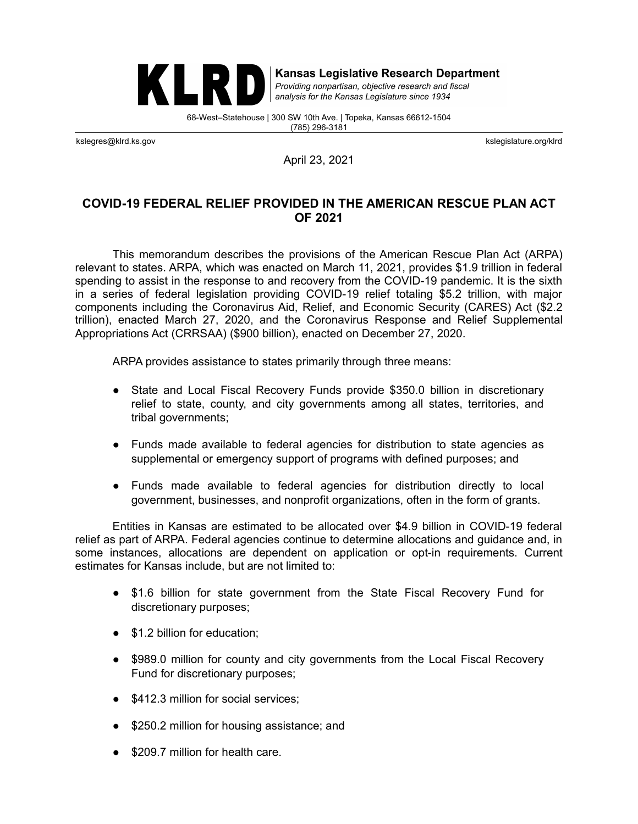

**Kansas Legislative Research Department** 

Providing nonpartisan, objective research and fiscal analysis for the Kansas Legislature since 1934

68-West–Statehouse | 300 SW 10th Ave. | Topeka, Kansas 66612-1504 (785) 296-3181

kslegres@klrd.ks.gov kslegislature.org/klrd

April 23, 2021

# **COVID-19 FEDERAL RELIEF PROVIDED IN THE AMERICAN RESCUE PLAN ACT OF 2021**

This memorandum describes the provisions of the American Rescue Plan Act (ARPA) relevant to states. ARPA, which was enacted on March 11, 2021, provides \$1.9 trillion in federal spending to assist in the response to and recovery from the COVID-19 pandemic. It is the sixth in a series of federal legislation providing COVID-19 relief totaling \$5.2 trillion, with major components including the Coronavirus Aid, Relief, and Economic Security (CARES) Act (\$2.2 trillion), enacted March 27, 2020, and the Coronavirus Response and Relief Supplemental Appropriations Act (CRRSAA) (\$900 billion), enacted on December 27, 2020.

ARPA provides assistance to states primarily through three means:

- State and Local Fiscal Recovery Funds provide \$350.0 billion in discretionary relief to state, county, and city governments among all states, territories, and tribal governments;
- Funds made available to federal agencies for distribution to state agencies as supplemental or emergency support of programs with defined purposes; and
- Funds made available to federal agencies for distribution directly to local government, businesses, and nonprofit organizations, often in the form of grants.

Entities in Kansas are estimated to be allocated over \$4.9 billion in COVID-19 federal relief as part of ARPA. Federal agencies continue to determine allocations and guidance and, in some instances, allocations are dependent on application or opt-in requirements. Current estimates for Kansas include, but are not limited to:

- \$1.6 billion for state government from the State Fiscal Recovery Fund for discretionary purposes;
- \$1.2 billion for education;
- \$989.0 million for county and city governments from the Local Fiscal Recovery Fund for discretionary purposes;
- \$412.3 million for social services;
- \$250.2 million for housing assistance; and
- \$209.7 million for health care.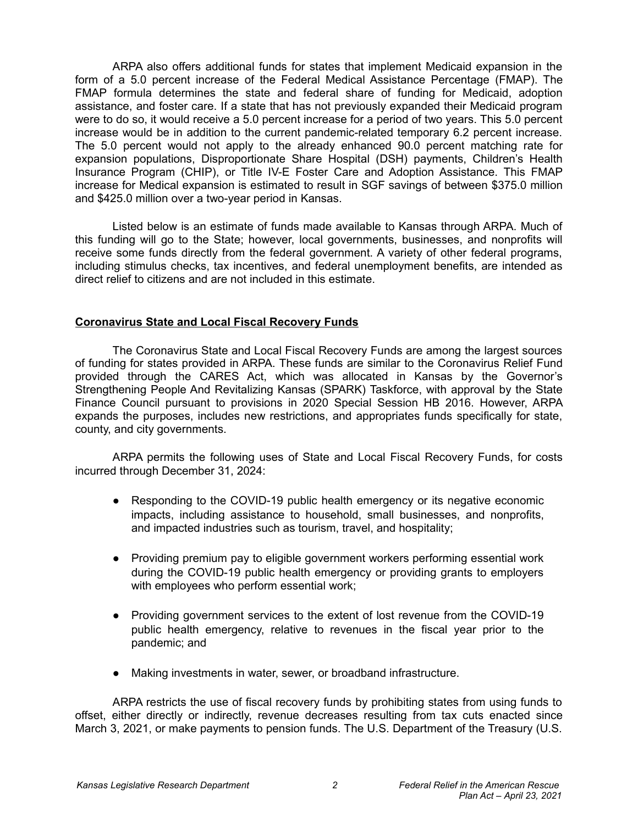ARPA also offers additional funds for states that implement Medicaid expansion in the form of a 5.0 percent increase of the Federal Medical Assistance Percentage (FMAP). The FMAP formula determines the state and federal share of funding for Medicaid, adoption assistance, and foster care. If a state that has not previously expanded their Medicaid program were to do so, it would receive a 5.0 percent increase for a period of two years. This 5.0 percent increase would be in addition to the current pandemic-related temporary 6.2 percent increase. The 5.0 percent would not apply to the already enhanced 90.0 percent matching rate for expansion populations, Disproportionate Share Hospital (DSH) payments, Children's Health Insurance Program (CHIP), or Title IV-E Foster Care and Adoption Assistance. This FMAP increase for Medical expansion is estimated to result in SGF savings of between \$375.0 million and \$425.0 million over a two-year period in Kansas.

Listed below is an estimate of funds made available to Kansas through ARPA. Much of this funding will go to the State; however, local governments, businesses, and nonprofits will receive some funds directly from the federal government. A variety of other federal programs, including stimulus checks, tax incentives, and federal unemployment benefits, are intended as direct relief to citizens and are not included in this estimate.

#### **Coronavirus State and Local Fiscal Recovery Funds**

The Coronavirus State and Local Fiscal Recovery Funds are among the largest sources of funding for states provided in ARPA. These funds are similar to the Coronavirus Relief Fund provided through the CARES Act, which was allocated in Kansas by the Governor's Strengthening People And Revitalizing Kansas (SPARK) Taskforce, with approval by the State Finance Council pursuant to provisions in 2020 Special Session HB 2016. However, ARPA expands the purposes, includes new restrictions, and appropriates funds specifically for state, county, and city governments.

ARPA permits the following uses of State and Local Fiscal Recovery Funds, for costs incurred through December 31, 2024:

- Responding to the COVID-19 public health emergency or its negative economic impacts, including assistance to household, small businesses, and nonprofits, and impacted industries such as tourism, travel, and hospitality;
- Providing premium pay to eligible government workers performing essential work during the COVID-19 public health emergency or providing grants to employers with employees who perform essential work;
- Providing government services to the extent of lost revenue from the COVID-19 public health emergency, relative to revenues in the fiscal year prior to the pandemic; and
- Making investments in water, sewer, or broadband infrastructure.

ARPA restricts the use of fiscal recovery funds by prohibiting states from using funds to offset, either directly or indirectly, revenue decreases resulting from tax cuts enacted since March 3, 2021, or make payments to pension funds. The U.S. Department of the Treasury (U.S.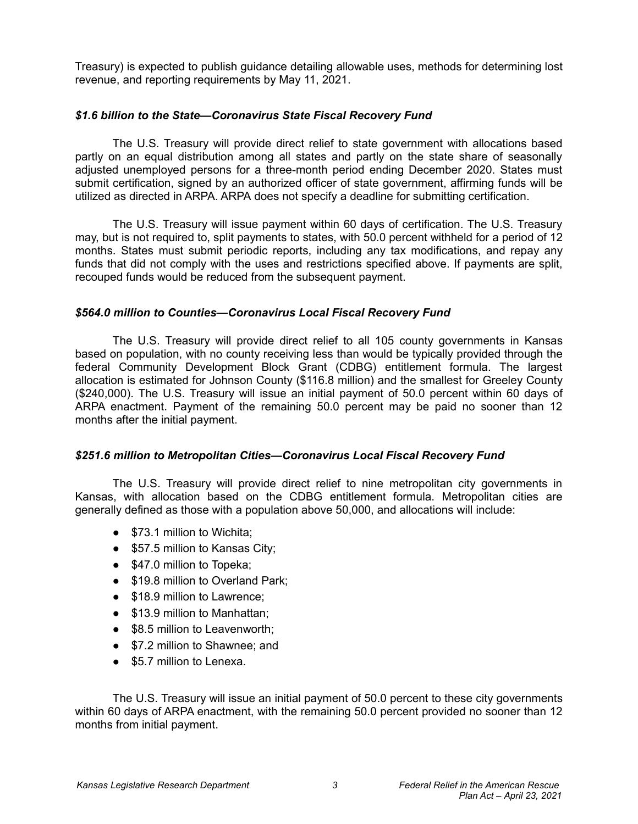Treasury) is expected to publish guidance detailing allowable uses, methods for determining lost revenue, and reporting requirements by May 11, 2021.

### *\$1.6 billion to the State—Coronavirus State Fiscal Recovery Fund*

The U.S. Treasury will provide direct relief to state government with allocations based partly on an equal distribution among all states and partly on the state share of seasonally adjusted unemployed persons for a three-month period ending December 2020. States must submit certification, signed by an authorized officer of state government, affirming funds will be utilized as directed in ARPA. ARPA does not specify a deadline for submitting certification.

The U.S. Treasury will issue payment within 60 days of certification. The U.S. Treasury may, but is not required to, split payments to states, with 50.0 percent withheld for a period of 12 months. States must submit periodic reports, including any tax modifications, and repay any funds that did not comply with the uses and restrictions specified above. If payments are split, recouped funds would be reduced from the subsequent payment.

### *\$564.0 million to Counties—Coronavirus Local Fiscal Recovery Fund*

The U.S. Treasury will provide direct relief to all 105 county governments in Kansas based on population, with no county receiving less than would be typically provided through the federal Community Development Block Grant (CDBG) entitlement formula. The largest allocation is estimated for Johnson County (\$116.8 million) and the smallest for Greeley County (\$240,000). The U.S. Treasury will issue an initial payment of 50.0 percent within 60 days of ARPA enactment. Payment of the remaining 50.0 percent may be paid no sooner than 12 months after the initial payment.

#### *\$251.6 million to Metropolitan Cities—Coronavirus Local Fiscal Recovery Fund*

The U.S. Treasury will provide direct relief to nine metropolitan city governments in Kansas, with allocation based on the CDBG entitlement formula. Metropolitan cities are generally defined as those with a population above 50,000, and allocations will include:

- \$73.1 million to Wichita;
- \$57.5 million to Kansas City;
- \$47.0 million to Topeka;
- \$19.8 million to Overland Park:
- \$18.9 million to Lawrence:
- \$13.9 million to Manhattan;
- \$8.5 million to Leavenworth;
- \$7.2 million to Shawnee: and
- \$5.7 million to Lenexa.

The U.S. Treasury will issue an initial payment of 50.0 percent to these city governments within 60 days of ARPA enactment, with the remaining 50.0 percent provided no sooner than 12 months from initial payment.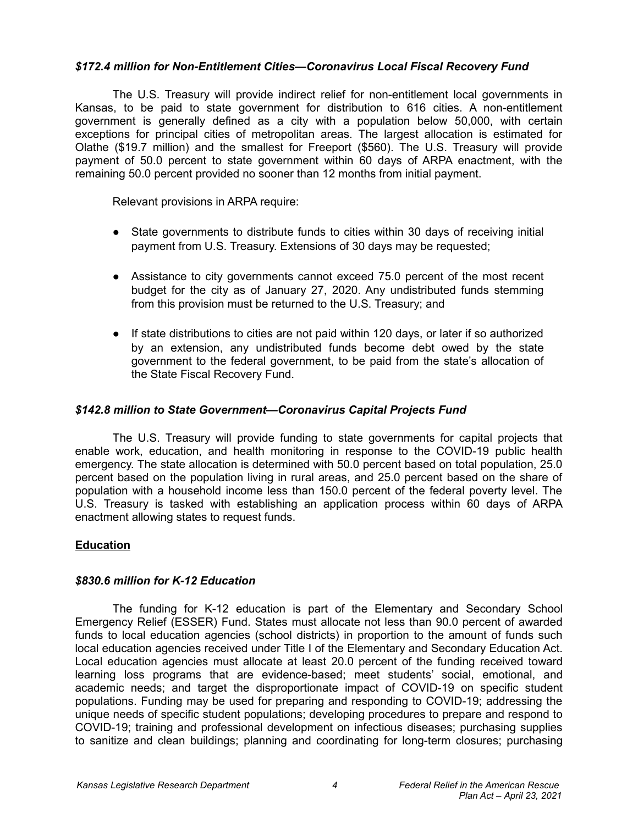### *\$172.4 million for Non-Entitlement Cities—Coronavirus Local Fiscal Recovery Fund*

The U.S. Treasury will provide indirect relief for non-entitlement local governments in Kansas, to be paid to state government for distribution to 616 cities. A non-entitlement government is generally defined as a city with a population below 50,000, with certain exceptions for principal cities of metropolitan areas. The largest allocation is estimated for Olathe (\$19.7 million) and the smallest for Freeport (\$560). The U.S. Treasury will provide payment of 50.0 percent to state government within 60 days of ARPA enactment, with the remaining 50.0 percent provided no sooner than 12 months from initial payment.

Relevant provisions in ARPA require:

- State governments to distribute funds to cities within 30 days of receiving initial payment from U.S. Treasury. Extensions of 30 days may be requested;
- Assistance to city governments cannot exceed 75.0 percent of the most recent budget for the city as of January 27, 2020. Any undistributed funds stemming from this provision must be returned to the U.S. Treasury; and
- If state distributions to cities are not paid within 120 days, or later if so authorized by an extension, any undistributed funds become debt owed by the state government to the federal government, to be paid from the state's allocation of the State Fiscal Recovery Fund.

### *\$142.8 million to State Government—Coronavirus Capital Projects Fund*

The U.S. Treasury will provide funding to state governments for capital projects that enable work, education, and health monitoring in response to the COVID-19 public health emergency. The state allocation is determined with 50.0 percent based on total population, 25.0 percent based on the population living in rural areas, and 25.0 percent based on the share of population with a household income less than 150.0 percent of the federal poverty level. The U.S. Treasury is tasked with establishing an application process within 60 days of ARPA enactment allowing states to request funds.

## **Education**

## *\$830.6 million for K-12 Education*

The funding for K-12 education is part of the Elementary and Secondary School Emergency Relief (ESSER) Fund. States must allocate not less than 90.0 percent of awarded funds to local education agencies (school districts) in proportion to the amount of funds such local education agencies received under Title I of the Elementary and Secondary Education Act. Local education agencies must allocate at least 20.0 percent of the funding received toward learning loss programs that are evidence-based; meet students' social, emotional, and academic needs; and target the disproportionate impact of COVID-19 on specific student populations. Funding may be used for preparing and responding to COVID-19; addressing the unique needs of specific student populations; developing procedures to prepare and respond to COVID-19; training and professional development on infectious diseases; purchasing supplies to sanitize and clean buildings; planning and coordinating for long-term closures; purchasing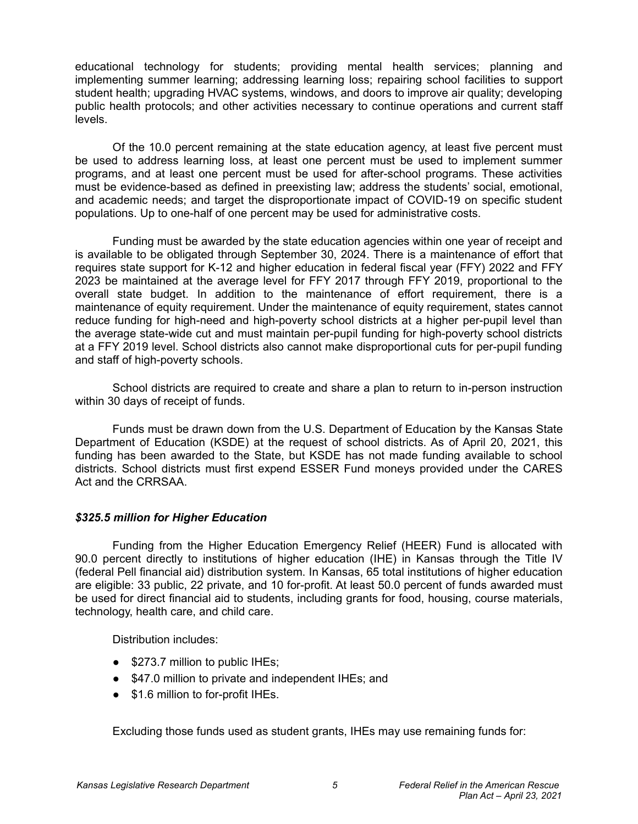educational technology for students; providing mental health services; planning and implementing summer learning; addressing learning loss; repairing school facilities to support student health; upgrading HVAC systems, windows, and doors to improve air quality; developing public health protocols; and other activities necessary to continue operations and current staff levels.

Of the 10.0 percent remaining at the state education agency, at least five percent must be used to address learning loss, at least one percent must be used to implement summer programs, and at least one percent must be used for after-school programs. These activities must be evidence-based as defined in preexisting law; address the students' social, emotional, and academic needs; and target the disproportionate impact of COVID-19 on specific student populations. Up to one-half of one percent may be used for administrative costs.

Funding must be awarded by the state education agencies within one year of receipt and is available to be obligated through September 30, 2024. There is a maintenance of effort that requires state support for K-12 and higher education in federal fiscal year (FFY) 2022 and FFY 2023 be maintained at the average level for FFY 2017 through FFY 2019, proportional to the overall state budget. In addition to the maintenance of effort requirement, there is a maintenance of equity requirement. Under the maintenance of equity requirement, states cannot reduce funding for high-need and high-poverty school districts at a higher per-pupil level than the average state-wide cut and must maintain per-pupil funding for high-poverty school districts at a FFY 2019 level. School districts also cannot make disproportional cuts for per-pupil funding and staff of high-poverty schools.

School districts are required to create and share a plan to return to in-person instruction within 30 days of receipt of funds.

Funds must be drawn down from the U.S. Department of Education by the Kansas State Department of Education (KSDE) at the request of school districts. As of April 20, 2021, this funding has been awarded to the State, but KSDE has not made funding available to school districts. School districts must first expend ESSER Fund moneys provided under the CARES Act and the CRRSAA.

## *\$325.5 million for Higher Education*

Funding from the Higher Education Emergency Relief (HEER) Fund is allocated with 90.0 percent directly to institutions of higher education (IHE) in Kansas through the Title IV (federal Pell financial aid) distribution system. In Kansas, 65 total institutions of higher education are eligible: 33 public, 22 private, and 10 for-profit. At least 50.0 percent of funds awarded must be used for direct financial aid to students, including grants for food, housing, course materials, technology, health care, and child care.

Distribution includes:

- \$273.7 million to public IHEs;
- \$47.0 million to private and independent IHEs; and
- \$1.6 million to for-profit IHEs.

Excluding those funds used as student grants, IHEs may use remaining funds for: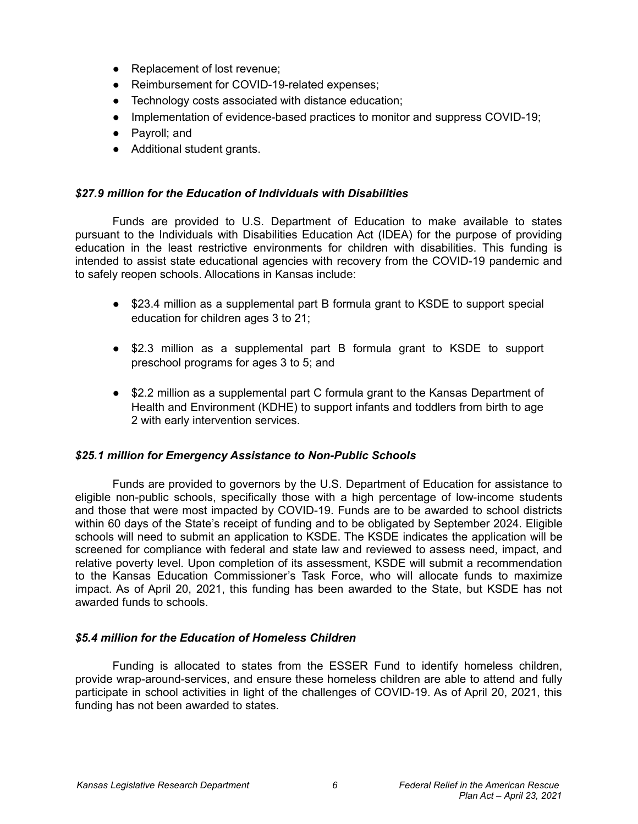- Replacement of lost revenue;
- Reimbursement for COVID-19-related expenses;
- Technology costs associated with distance education;
- Implementation of evidence-based practices to monitor and suppress COVID-19;
- Payroll; and
- Additional student grants.

## *\$27.9 million for the Education of Individuals with Disabilities*

Funds are provided to U.S. Department of Education to make available to states pursuant to the Individuals with Disabilities Education Act (IDEA) for the purpose of providing education in the least restrictive environments for children with disabilities. This funding is intended to assist state educational agencies with recovery from the COVID-19 pandemic and to safely reopen schools. Allocations in Kansas include:

- \$23.4 million as a supplemental part B formula grant to KSDE to support special education for children ages 3 to 21;
- \$2.3 million as a supplemental part B formula grant to KSDE to support preschool programs for ages 3 to 5; and
- \$2.2 million as a supplemental part C formula grant to the Kansas Department of Health and Environment (KDHE) to support infants and toddlers from birth to age 2 with early intervention services.

## *\$25.1 million for Emergency Assistance to Non-Public Schools*

Funds are provided to governors by the U.S. Department of Education for assistance to eligible non-public schools, specifically those with a high percentage of low-income students and those that were most impacted by COVID-19. Funds are to be awarded to school districts within 60 days of the State's receipt of funding and to be obligated by September 2024. Eligible schools will need to submit an application to KSDE. The KSDE indicates the application will be screened for compliance with federal and state law and reviewed to assess need, impact, and relative poverty level. Upon completion of its assessment, KSDE will submit a recommendation to the Kansas Education Commissioner's Task Force, who will allocate funds to maximize impact. As of April 20, 2021, this funding has been awarded to the State, but KSDE has not awarded funds to schools.

## *\$5.4 million for the Education of Homeless Children*

Funding is allocated to states from the ESSER Fund to identify homeless children, provide wrap-around-services, and ensure these homeless children are able to attend and fully participate in school activities in light of the challenges of COVID-19. As of April 20, 2021, this funding has not been awarded to states.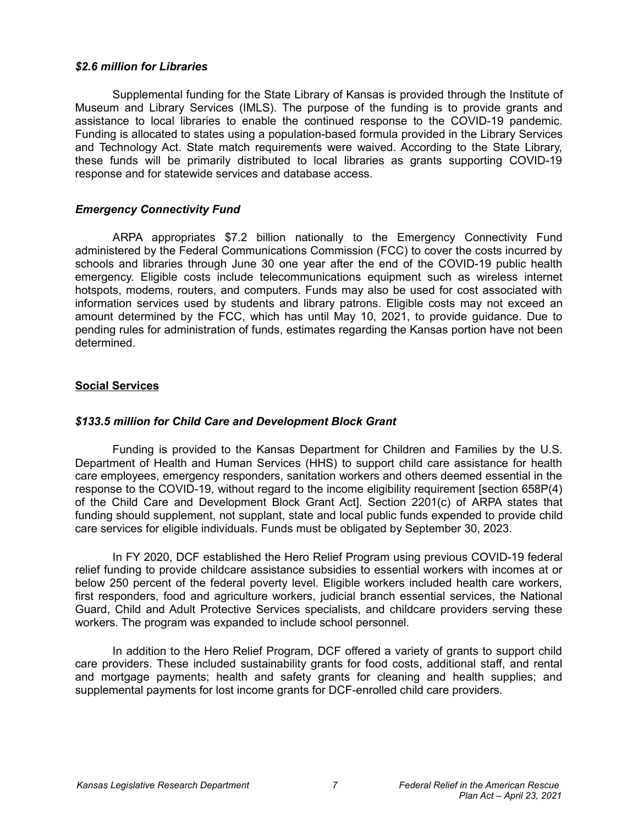#### *\$2.6 million for Libraries*

Supplemental funding for the State Library of Kansas is provided through the Institute of Museum and Library Services (IMLS). The purpose of the funding is to provide grants and assistance to local libraries to enable the continued response to the COVID-19 pandemic. Funding is allocated to states using a population-based formula provided in the Library Services and Technology Act. State match requirements were waived. According to the State Library, these funds will be primarily distributed to local libraries as grants supporting COVID-19 response and for statewide services and database access.

## *Emergency Connectivity Fund*

ARPA appropriates \$7.2 billion nationally to the Emergency Connectivity Fund administered by the Federal Communications Commission (FCC) to cover the costs incurred by schools and libraries through June 30 one year after the end of the COVID-19 public health emergency. Eligible costs include telecommunications equipment such as wireless internet hotspots, modems, routers, and computers. Funds may also be used for cost associated with information services used by students and library patrons. Eligible costs may not exceed an amount determined by the FCC, which has until May 10, 2021, to provide guidance. Due to pending rules for administration of funds, estimates regarding the Kansas portion have not been determined.

## **Social Services**

## *\$133.5 million for Child Care and Development Block Grant*

Funding is provided to the Kansas Department for Children and Families by the U.S. Department of Health and Human Services (HHS) to support child care assistance for health care employees, emergency responders, sanitation workers and others deemed essential in the response to the COVID-19, without regard to the income eligibility requirement [section 658P(4) of the Child Care and Development Block Grant Act]. Section 2201(c) of ARPA states that funding should supplement, not supplant, state and local public funds expended to provide child care services for eligible individuals. Funds must be obligated by September 30, 2023.

In FY 2020, DCF established the Hero Relief Program using previous COVID-19 federal relief funding to provide childcare assistance subsidies to essential workers with incomes at or below 250 percent of the federal poverty level. Eligible workers included health care workers, first responders, food and agriculture workers, judicial branch essential services, the National Guard, Child and Adult Protective Services specialists, and childcare providers serving these workers. The program was expanded to include school personnel.

In addition to the Hero Relief Program, DCF offered a variety of grants to support child care providers. These included sustainability grants for food costs, additional staff, and rental and mortgage payments; health and safety grants for cleaning and health supplies; and supplemental payments for lost income grants for DCF-enrolled child care providers.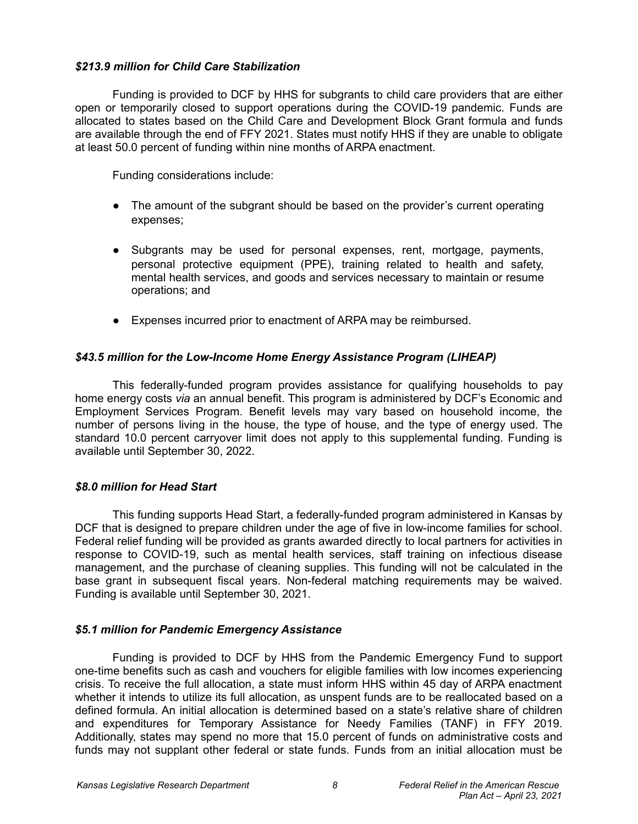### *\$213.9 million for Child Care Stabilization*

Funding is provided to DCF by HHS for subgrants to child care providers that are either open or temporarily closed to support operations during the COVID-19 pandemic. Funds are allocated to states based on the Child Care and Development Block Grant formula and funds are available through the end of FFY 2021. States must notify HHS if they are unable to obligate at least 50.0 percent of funding within nine months of ARPA enactment.

Funding considerations include:

- The amount of the subgrant should be based on the provider's current operating expenses;
- Subgrants may be used for personal expenses, rent, mortgage, payments, personal protective equipment (PPE), training related to health and safety, mental health services, and goods and services necessary to maintain or resume operations; and
- Expenses incurred prior to enactment of ARPA may be reimbursed.

## *\$43.5 million for the Low-Income Home Energy Assistance Program (LIHEAP)*

This federally-funded program provides assistance for qualifying households to pay home energy costs *via* an annual benefit. This program is administered by DCF's Economic and Employment Services Program. Benefit levels may vary based on household income, the number of persons living in the house, the type of house, and the type of energy used. The standard 10.0 percent carryover limit does not apply to this supplemental funding. Funding is available until September 30, 2022.

## *\$8.0 million for Head Start*

This funding supports Head Start, a federally-funded program administered in Kansas by DCF that is designed to prepare children under the age of five in low-income families for school. Federal relief funding will be provided as grants awarded directly to local partners for activities in response to COVID-19, such as mental health services, staff training on infectious disease management, and the purchase of cleaning supplies. This funding will not be calculated in the base grant in subsequent fiscal years. Non-federal matching requirements may be waived. Funding is available until September 30, 2021.

## *\$5.1 million for Pandemic Emergency Assistance*

Funding is provided to DCF by HHS from the Pandemic Emergency Fund to support one-time benefits such as cash and vouchers for eligible families with low incomes experiencing crisis. To receive the full allocation, a state must inform HHS within 45 day of ARPA enactment whether it intends to utilize its full allocation, as unspent funds are to be reallocated based on a defined formula. An initial allocation is determined based on a state's relative share of children and expenditures for Temporary Assistance for Needy Families (TANF) in FFY 2019. Additionally, states may spend no more that 15.0 percent of funds on administrative costs and funds may not supplant other federal or state funds. Funds from an initial allocation must be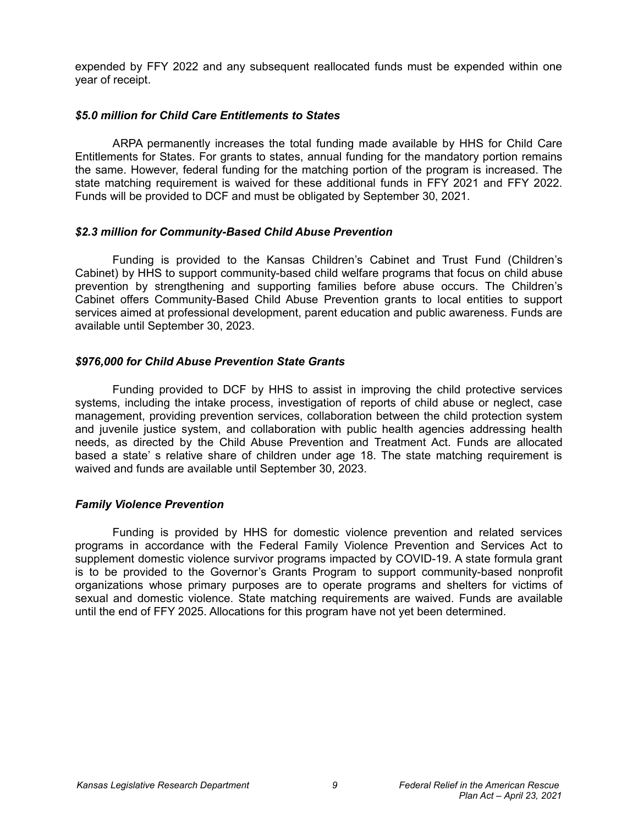expended by FFY 2022 and any subsequent reallocated funds must be expended within one year of receipt.

#### *\$5.0 million for Child Care Entitlements to States*

ARPA permanently increases the total funding made available by HHS for Child Care Entitlements for States. For grants to states, annual funding for the mandatory portion remains the same. However, federal funding for the matching portion of the program is increased. The state matching requirement is waived for these additional funds in FFY 2021 and FFY 2022. Funds will be provided to DCF and must be obligated by September 30, 2021.

### *\$2.3 million for Community-Based Child Abuse Prevention*

Funding is provided to the Kansas Children's Cabinet and Trust Fund (Children's Cabinet) by HHS to support community-based child welfare programs that focus on child abuse prevention by strengthening and supporting families before abuse occurs. The Children's Cabinet offers Community-Based Child Abuse Prevention grants to local entities to support services aimed at professional development, parent education and public awareness. Funds are available until September 30, 2023.

### *\$976,000 for Child Abuse Prevention State Grants*

Funding provided to DCF by HHS to assist in improving the child protective services systems, including the intake process, investigation of reports of child abuse or neglect, case management, providing prevention services, collaboration between the child protection system and juvenile justice system, and collaboration with public health agencies addressing health needs, as directed by the Child Abuse Prevention and Treatment Act. Funds are allocated based a state' s relative share of children under age 18. The state matching requirement is waived and funds are available until September 30, 2023.

## *Family Violence Prevention*

Funding is provided by HHS for domestic violence prevention and related services programs in accordance with the Federal Family Violence Prevention and Services Act to supplement domestic violence survivor programs impacted by COVID-19. A state formula grant is to be provided to the Governor's Grants Program to support community-based nonprofit organizations whose primary purposes are to operate programs and shelters for victims of sexual and domestic violence. State matching requirements are waived. Funds are available until the end of FFY 2025. Allocations for this program have not yet been determined.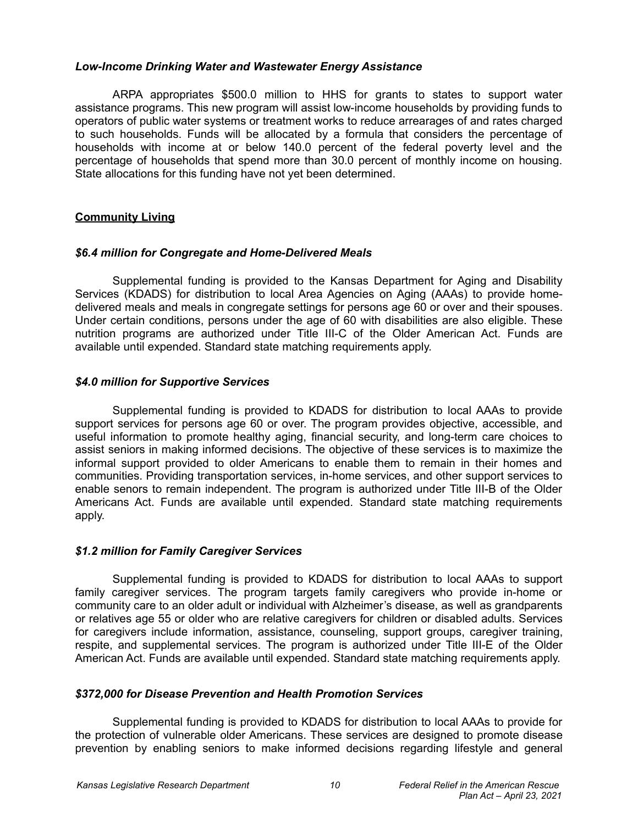### *Low-Income Drinking Water and Wastewater Energy Assistance*

ARPA appropriates \$500.0 million to HHS for grants to states to support water assistance programs. This new program will assist low-income households by providing funds to operators of public water systems or treatment works to reduce arrearages of and rates charged to such households. Funds will be allocated by a formula that considers the percentage of households with income at or below 140.0 percent of the federal poverty level and the percentage of households that spend more than 30.0 percent of monthly income on housing. State allocations for this funding have not yet been determined.

## **Community Living**

### *\$6.4 million for Congregate and Home-Delivered Meals*

Supplemental funding is provided to the Kansas Department for Aging and Disability Services (KDADS) for distribution to local Area Agencies on Aging (AAAs) to provide homedelivered meals and meals in congregate settings for persons age 60 or over and their spouses. Under certain conditions, persons under the age of 60 with disabilities are also eligible. These nutrition programs are authorized under Title III-C of the Older American Act. Funds are available until expended. Standard state matching requirements apply.

## *\$4.0 million for Supportive Services*

Supplemental funding is provided to KDADS for distribution to local AAAs to provide support services for persons age 60 or over. The program provides objective, accessible, and useful information to promote healthy aging, financial security, and long-term care choices to assist seniors in making informed decisions. The objective of these services is to maximize the informal support provided to older Americans to enable them to remain in their homes and communities. Providing transportation services, in-home services, and other support services to enable senors to remain independent. The program is authorized under Title III-B of the Older Americans Act. Funds are available until expended. Standard state matching requirements apply.

## *\$1.2 million for Family Caregiver Services*

Supplemental funding is provided to KDADS for distribution to local AAAs to support family caregiver services. The program targets family caregivers who provide in-home or community care to an older adult or individual with Alzheimer's disease, as well as grandparents or relatives age 55 or older who are relative caregivers for children or disabled adults. Services for caregivers include information, assistance, counseling, support groups, caregiver training, respite, and supplemental services. The program is authorized under Title III-E of the Older American Act. Funds are available until expended. Standard state matching requirements apply.

#### *\$372,000 for Disease Prevention and Health Promotion Services*

Supplemental funding is provided to KDADS for distribution to local AAAs to provide for the protection of vulnerable older Americans. These services are designed to promote disease prevention by enabling seniors to make informed decisions regarding lifestyle and general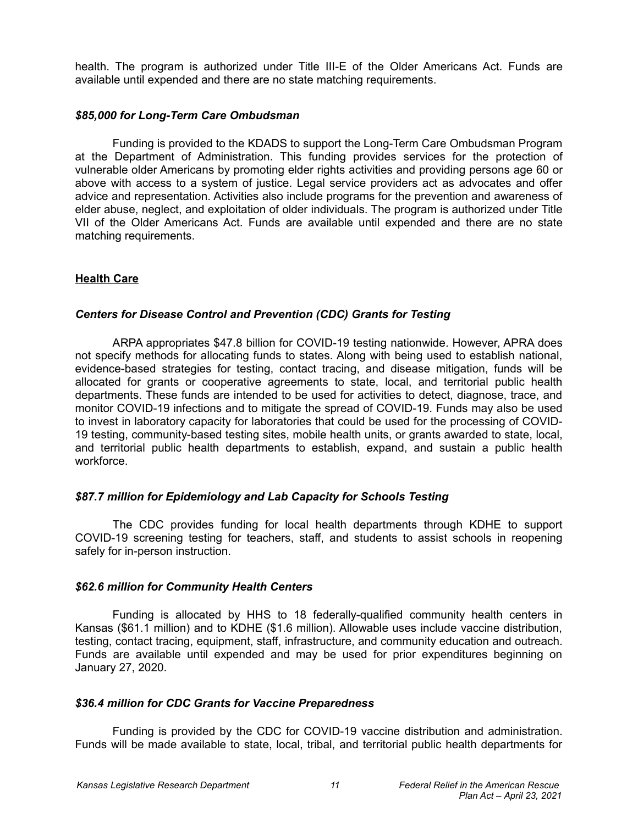health. The program is authorized under Title III-E of the Older Americans Act. Funds are available until expended and there are no state matching requirements.

#### *\$85,000 for Long-Term Care Ombudsman*

Funding is provided to the KDADS to support the Long-Term Care Ombudsman Program at the Department of Administration. This funding provides services for the protection of vulnerable older Americans by promoting elder rights activities and providing persons age 60 or above with access to a system of justice. Legal service providers act as advocates and offer advice and representation. Activities also include programs for the prevention and awareness of elder abuse, neglect, and exploitation of older individuals. The program is authorized under Title VII of the Older Americans Act. Funds are available until expended and there are no state matching requirements.

### **Health Care**

## *Centers for Disease Control and Prevention (CDC) Grants for Testing*

ARPA appropriates \$47.8 billion for COVID-19 testing nationwide. However, APRA does not specify methods for allocating funds to states. Along with being used to establish national, evidence-based strategies for testing, contact tracing, and disease mitigation, funds will be allocated for grants or cooperative agreements to state, local, and territorial public health departments. These funds are intended to be used for activities to detect, diagnose, trace, and monitor COVID-19 infections and to mitigate the spread of COVID-19. Funds may also be used to invest in laboratory capacity for laboratories that could be used for the processing of COVID-19 testing, community-based testing sites, mobile health units, or grants awarded to state, local, and territorial public health departments to establish, expand, and sustain a public health workforce.

## *\$87.7 million for Epidemiology and Lab Capacity for Schools Testing*

The CDC provides funding for local health departments through KDHE to support COVID-19 screening testing for teachers, staff, and students to assist schools in reopening safely for in-person instruction.

#### *\$62.6 million for Community Health Centers*

Funding is allocated by HHS to 18 federally-qualified community health centers in Kansas (\$61.1 million) and to KDHE (\$1.6 million). Allowable uses include vaccine distribution, testing, contact tracing, equipment, staff, infrastructure, and community education and outreach. Funds are available until expended and may be used for prior expenditures beginning on January 27, 2020.

#### *\$36.4 million for CDC Grants for Vaccine Preparedness*

Funding is provided by the CDC for COVID-19 vaccine distribution and administration. Funds will be made available to state, local, tribal, and territorial public health departments for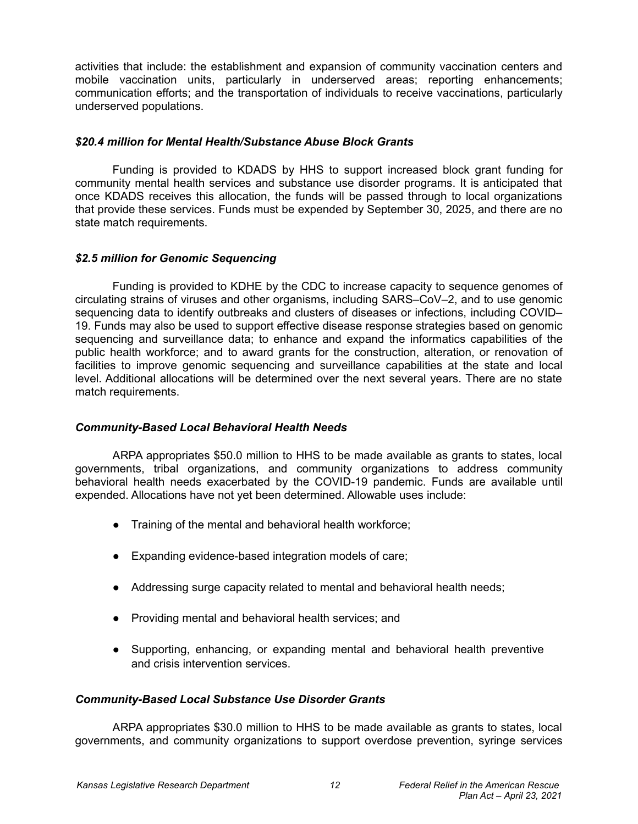activities that include: the establishment and expansion of community vaccination centers and mobile vaccination units, particularly in underserved areas; reporting enhancements; communication efforts; and the transportation of individuals to receive vaccinations, particularly underserved populations.

### *\$20.4 million for Mental Health/Substance Abuse Block Grants*

Funding is provided to KDADS by HHS to support increased block grant funding for community mental health services and substance use disorder programs. It is anticipated that once KDADS receives this allocation, the funds will be passed through to local organizations that provide these services. Funds must be expended by September 30, 2025, and there are no state match requirements.

## *\$2.5 million for Genomic Sequencing*

Funding is provided to KDHE by the CDC to increase capacity to sequence genomes of circulating strains of viruses and other organisms, including SARS–CoV–2, and to use genomic sequencing data to identify outbreaks and clusters of diseases or infections, including COVID-19. Funds may also be used to support effective disease response strategies based on genomic sequencing and surveillance data; to enhance and expand the informatics capabilities of the public health workforce; and to award grants for the construction, alteration, or renovation of facilities to improve genomic sequencing and surveillance capabilities at the state and local level. Additional allocations will be determined over the next several years. There are no state match requirements.

#### *Community-Based Local Behavioral Health Needs*

ARPA appropriates \$50.0 million to HHS to be made available as grants to states, local governments, tribal organizations, and community organizations to address community behavioral health needs exacerbated by the COVID-19 pandemic. Funds are available until expended. Allocations have not yet been determined. Allowable uses include:

- Training of the mental and behavioral health workforce;
- Expanding evidence-based integration models of care;
- Addressing surge capacity related to mental and behavioral health needs;
- Providing mental and behavioral health services; and
- Supporting, enhancing, or expanding mental and behavioral health preventive and crisis intervention services.

## *Community-Based Local Substance Use Disorder Grants*

ARPA appropriates \$30.0 million to HHS to be made available as grants to states, local governments, and community organizations to support overdose prevention, syringe services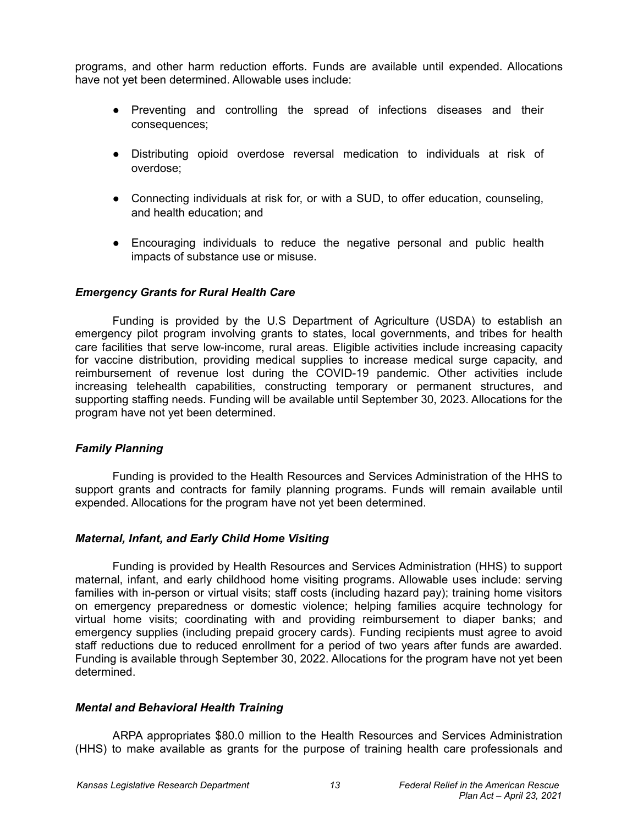programs, and other harm reduction efforts. Funds are available until expended. Allocations have not yet been determined. Allowable uses include:

- Preventing and controlling the spread of infections diseases and their consequences;
- Distributing opioid overdose reversal medication to individuals at risk of overdose;
- Connecting individuals at risk for, or with a SUD, to offer education, counseling, and health education; and
- Encouraging individuals to reduce the negative personal and public health impacts of substance use or misuse.

### *Emergency Grants for Rural Health Care*

Funding is provided by the U.S Department of Agriculture (USDA) to establish an emergency pilot program involving grants to states, local governments, and tribes for health care facilities that serve low-income, rural areas. Eligible activities include increasing capacity for vaccine distribution, providing medical supplies to increase medical surge capacity, and reimbursement of revenue lost during the COVID-19 pandemic. Other activities include increasing telehealth capabilities, constructing temporary or permanent structures, and supporting staffing needs. Funding will be available until September 30, 2023. Allocations for the program have not yet been determined.

## *Family Planning*

Funding is provided to the Health Resources and Services Administration of the HHS to support grants and contracts for family planning programs. Funds will remain available until expended. Allocations for the program have not yet been determined.

## *Maternal, Infant, and Early Child Home Visiting*

Funding is provided by Health Resources and Services Administration (HHS) to support maternal, infant, and early childhood home visiting programs. Allowable uses include: serving families with in-person or virtual visits; staff costs (including hazard pay); training home visitors on emergency preparedness or domestic violence; helping families acquire technology for virtual home visits; coordinating with and providing reimbursement to diaper banks; and emergency supplies (including prepaid grocery cards). Funding recipients must agree to avoid staff reductions due to reduced enrollment for a period of two years after funds are awarded. Funding is available through September 30, 2022. Allocations for the program have not yet been determined.

#### *Mental and Behavioral Health Training*

ARPA appropriates \$80.0 million to the Health Resources and Services Administration (HHS) to make available as grants for the purpose of training health care professionals and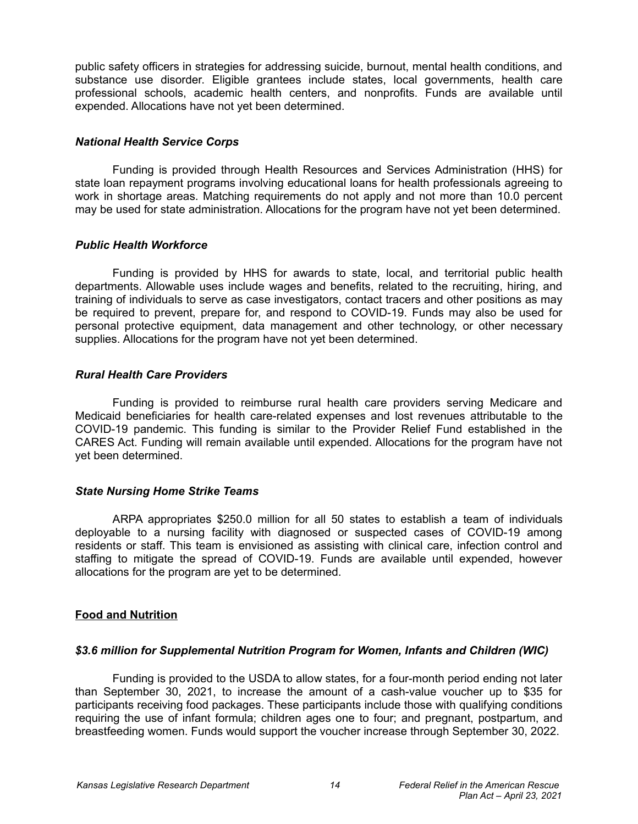public safety officers in strategies for addressing suicide, burnout, mental health conditions, and substance use disorder. Eligible grantees include states, local governments, health care professional schools, academic health centers, and nonprofits. Funds are available until expended. Allocations have not yet been determined.

### *National Health Service Corps*

Funding is provided through Health Resources and Services Administration (HHS) for state loan repayment programs involving educational loans for health professionals agreeing to work in shortage areas. Matching requirements do not apply and not more than 10.0 percent may be used for state administration. Allocations for the program have not yet been determined.

### *Public Health Workforce*

Funding is provided by HHS for awards to state, local, and territorial public health departments. Allowable uses include wages and benefits, related to the recruiting, hiring, and training of individuals to serve as case investigators, contact tracers and other positions as may be required to prevent, prepare for, and respond to COVID-19. Funds may also be used for personal protective equipment, data management and other technology, or other necessary supplies. Allocations for the program have not yet been determined.

## *Rural Health Care Providers*

Funding is provided to reimburse rural health care providers serving Medicare and Medicaid beneficiaries for health care-related expenses and lost revenues attributable to the COVID-19 pandemic. This funding is similar to the Provider Relief Fund established in the CARES Act. Funding will remain available until expended. Allocations for the program have not yet been determined.

## *State Nursing Home Strike Teams*

ARPA appropriates \$250.0 million for all 50 states to establish a team of individuals deployable to a nursing facility with diagnosed or suspected cases of COVID-19 among residents or staff. This team is envisioned as assisting with clinical care, infection control and staffing to mitigate the spread of COVID-19. Funds are available until expended, however allocations for the program are yet to be determined.

## **Food and Nutrition**

## *\$3.6 million for Supplemental Nutrition Program for Women, Infants and Children (WIC)*

Funding is provided to the USDA to allow states, for a four-month period ending not later than September 30, 2021, to increase the amount of a cash-value voucher up to \$35 for participants receiving food packages. These participants include those with qualifying conditions requiring the use of infant formula; children ages one to four; and pregnant, postpartum, and breastfeeding women. Funds would support the voucher increase through September 30, 2022.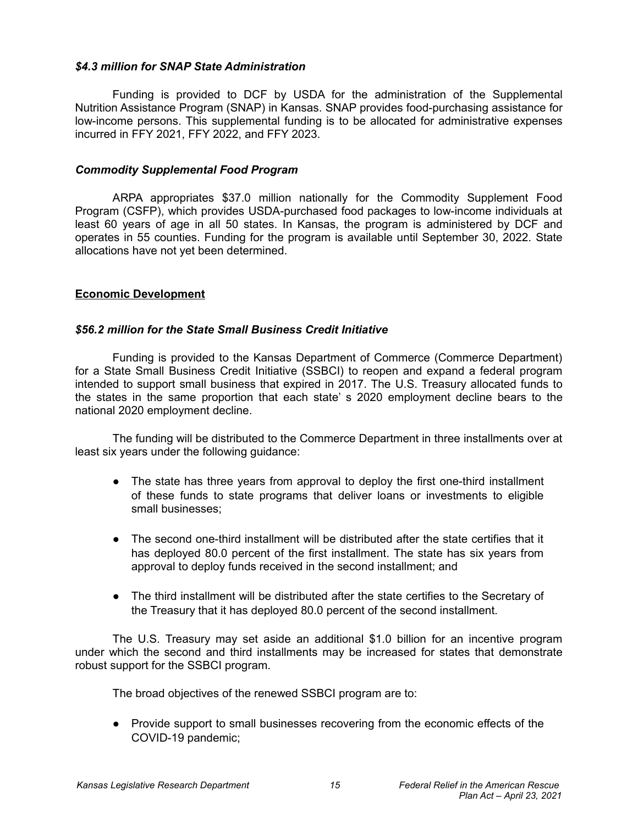### *\$4.3 million for SNAP State Administration*

Funding is provided to DCF by USDA for the administration of the Supplemental Nutrition Assistance Program (SNAP) in Kansas. SNAP provides food-purchasing assistance for low-income persons. This supplemental funding is to be allocated for administrative expenses incurred in FFY 2021, FFY 2022, and FFY 2023.

#### *Commodity Supplemental Food Program*

ARPA appropriates \$37.0 million nationally for the Commodity Supplement Food Program (CSFP), which provides USDA-purchased food packages to low-income individuals at least 60 years of age in all 50 states. In Kansas, the program is administered by DCF and operates in 55 counties. Funding for the program is available until September 30, 2022. State allocations have not yet been determined.

### **Economic Development**

### *\$56.2 million for the State Small Business Credit Initiative*

Funding is provided to the Kansas Department of Commerce (Commerce Department) for a State Small Business Credit Initiative (SSBCI) to reopen and expand a federal program intended to support small business that expired in 2017. The U.S. Treasury allocated funds to the states in the same proportion that each state' s 2020 employment decline bears to the national 2020 employment decline.

The funding will be distributed to the Commerce Department in three installments over at least six years under the following guidance:

- The state has three years from approval to deploy the first one-third installment of these funds to state programs that deliver loans or investments to eligible small businesses;
- The second one-third installment will be distributed after the state certifies that it has deployed 80.0 percent of the first installment. The state has six years from approval to deploy funds received in the second installment; and
- The third installment will be distributed after the state certifies to the Secretary of the Treasury that it has deployed 80.0 percent of the second installment.

The U.S. Treasury may set aside an additional \$1.0 billion for an incentive program under which the second and third installments may be increased for states that demonstrate robust support for the SSBCI program.

The broad objectives of the renewed SSBCI program are to:

● Provide support to small businesses recovering from the economic effects of the COVID-19 pandemic;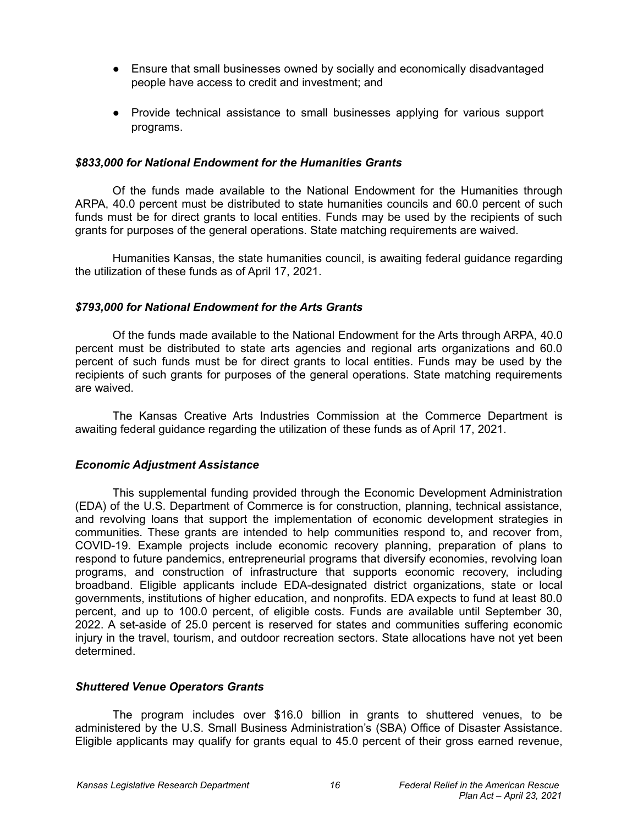- Ensure that small businesses owned by socially and economically disadvantaged people have access to credit and investment; and
- Provide technical assistance to small businesses applying for various support programs.

#### *\$833,000 for National Endowment for the Humanities Grants*

Of the funds made available to the National Endowment for the Humanities through ARPA, 40.0 percent must be distributed to state humanities councils and 60.0 percent of such funds must be for direct grants to local entities. Funds may be used by the recipients of such grants for purposes of the general operations. State matching requirements are waived.

Humanities Kansas, the state humanities council, is awaiting federal guidance regarding the utilization of these funds as of April 17, 2021.

#### *\$793,000 for National Endowment for the Arts Grants*

Of the funds made available to the National Endowment for the Arts through ARPA, 40.0 percent must be distributed to state arts agencies and regional arts organizations and 60.0 percent of such funds must be for direct grants to local entities. Funds may be used by the recipients of such grants for purposes of the general operations. State matching requirements are waived.

The Kansas Creative Arts Industries Commission at the Commerce Department is awaiting federal guidance regarding the utilization of these funds as of April 17, 2021.

#### *Economic Adjustment Assistance*

This supplemental funding provided through the Economic Development Administration (EDA) of the U.S. Department of Commerce is for construction, planning, technical assistance, and revolving loans that support the implementation of economic development strategies in communities. These grants are intended to help communities respond to, and recover from, COVID-19. Example projects include economic recovery planning, preparation of plans to respond to future pandemics, entrepreneurial programs that diversify economies, revolving loan programs, and construction of infrastructure that supports economic recovery, including broadband. Eligible applicants include EDA-designated district organizations, state or local governments, institutions of higher education, and nonprofits. EDA expects to fund at least 80.0 percent, and up to 100.0 percent, of eligible costs. Funds are available until September 30, 2022. A set-aside of 25.0 percent is reserved for states and communities suffering economic injury in the travel, tourism, and outdoor recreation sectors. State allocations have not yet been determined.

#### *Shuttered Venue Operators Grants*

The program includes over \$16.0 billion in grants to shuttered venues, to be administered by the U.S. Small Business Administration's (SBA) Office of Disaster Assistance. Eligible applicants may qualify for grants equal to 45.0 percent of their gross earned revenue,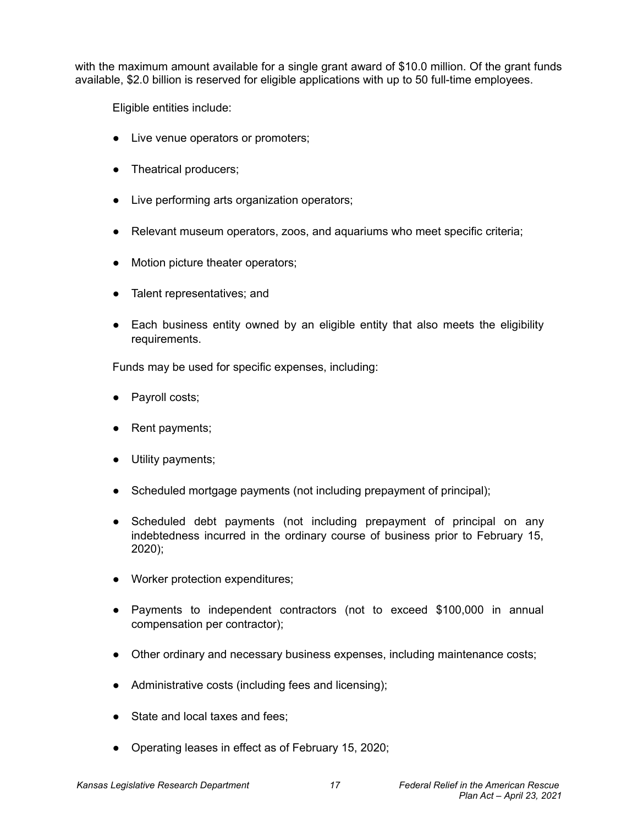with the maximum amount available for a single grant award of \$10.0 million. Of the grant funds available, \$2.0 billion is reserved for eligible applications with up to 50 full-time employees.

Eligible entities include:

- Live venue operators or promoters;
- Theatrical producers;
- Live performing arts organization operators;
- Relevant museum operators, zoos, and aquariums who meet specific criteria;
- Motion picture theater operators;
- Talent representatives; and
- Each business entity owned by an eligible entity that also meets the eligibility requirements.

Funds may be used for specific expenses, including:

- Payroll costs;
- Rent payments;
- Utility payments;
- Scheduled mortgage payments (not including prepayment of principal);
- Scheduled debt payments (not including prepayment of principal on any indebtedness incurred in the ordinary course of business prior to February 15, 2020);
- Worker protection expenditures;
- Payments to independent contractors (not to exceed \$100,000 in annual compensation per contractor);
- Other ordinary and necessary business expenses, including maintenance costs;
- Administrative costs (including fees and licensing);
- State and local taxes and fees;
- Operating leases in effect as of February 15, 2020;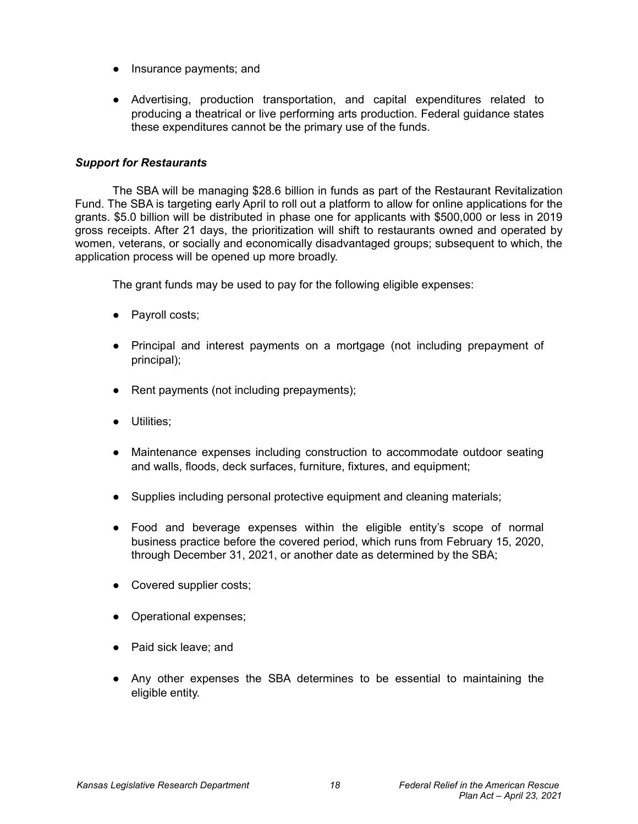- Insurance payments; and
- Advertising, production transportation, and capital expenditures related to producing a theatrical or live performing arts production. Federal guidance states these expenditures cannot be the primary use of the funds.

## *Support for Restaurants*

The SBA will be managing \$28.6 billion in funds as part of the Restaurant Revitalization Fund. The SBA is targeting early April to roll out a platform to allow for online applications for the grants. \$5.0 billion will be distributed in phase one for applicants with \$500,000 or less in 2019 gross receipts. After 21 days, the prioritization will shift to restaurants owned and operated by women, veterans, or socially and economically disadvantaged groups; subsequent to which, the application process will be opened up more broadly.

The grant funds may be used to pay for the following eligible expenses:

- Payroll costs;
- Principal and interest payments on a mortgage (not including prepayment of principal);
- Rent payments (not including prepayments);
- Utilities;
- Maintenance expenses including construction to accommodate outdoor seating and walls, floods, deck surfaces, furniture, fixtures, and equipment;
- Supplies including personal protective equipment and cleaning materials;
- Food and beverage expenses within the eligible entity's scope of normal business practice before the covered period, which runs from February 15, 2020, through December 31, 2021, or another date as determined by the SBA;
- Covered supplier costs;
- Operational expenses;
- Paid sick leave; and
- Any other expenses the SBA determines to be essential to maintaining the eligible entity.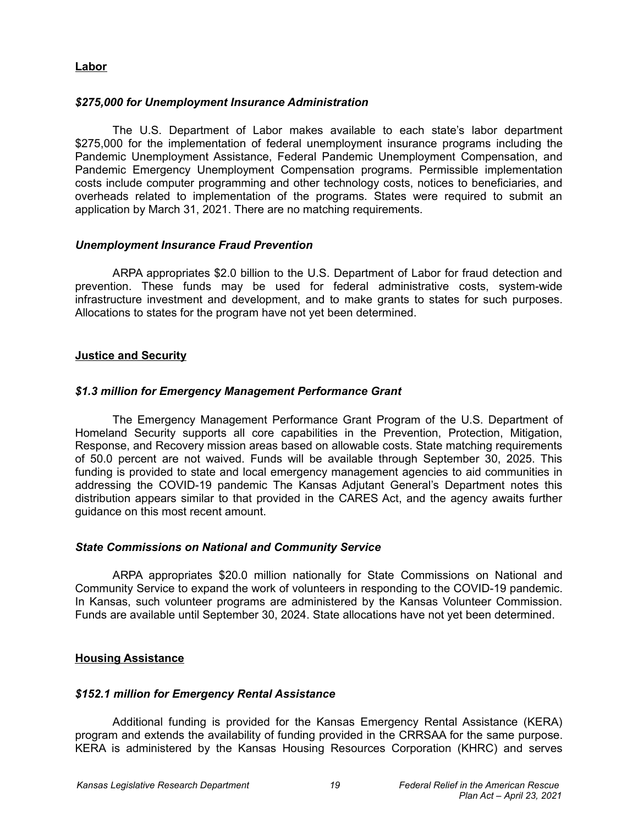## **Labor**

### *\$275,000 for Unemployment Insurance Administration*

The U.S. Department of Labor makes available to each state's labor department \$275,000 for the implementation of federal unemployment insurance programs including the Pandemic Unemployment Assistance, Federal Pandemic Unemployment Compensation, and Pandemic Emergency Unemployment Compensation programs. Permissible implementation costs include computer programming and other technology costs, notices to beneficiaries, and overheads related to implementation of the programs. States were required to submit an application by March 31, 2021. There are no matching requirements.

### *Unemployment Insurance Fraud Prevention*

ARPA appropriates \$2.0 billion to the U.S. Department of Labor for fraud detection and prevention. These funds may be used for federal administrative costs, system-wide infrastructure investment and development, and to make grants to states for such purposes. Allocations to states for the program have not yet been determined.

## **Justice and Security**

### *\$1.3 million for Emergency Management Performance Grant*

The Emergency Management Performance Grant Program of the U.S. Department of Homeland Security supports all core capabilities in the Prevention, Protection, Mitigation, Response, and Recovery mission areas based on allowable costs. State matching requirements of 50.0 percent are not waived. Funds will be available through September 30, 2025. This funding is provided to state and local emergency management agencies to aid communities in addressing the COVID-19 pandemic The Kansas Adjutant General's Department notes this distribution appears similar to that provided in the CARES Act, and the agency awaits further guidance on this most recent amount.

#### *State Commissions on National and Community Service*

ARPA appropriates \$20.0 million nationally for State Commissions on National and Community Service to expand the work of volunteers in responding to the COVID-19 pandemic. In Kansas, such volunteer programs are administered by the Kansas Volunteer Commission. Funds are available until September 30, 2024. State allocations have not yet been determined.

## **Housing Assistance**

#### *\$152.1 million for Emergency Rental Assistance*

Additional funding is provided for the Kansas Emergency Rental Assistance (KERA) program and extends the availability of funding provided in the CRRSAA for the same purpose. KERA is administered by the Kansas Housing Resources Corporation (KHRC) and serves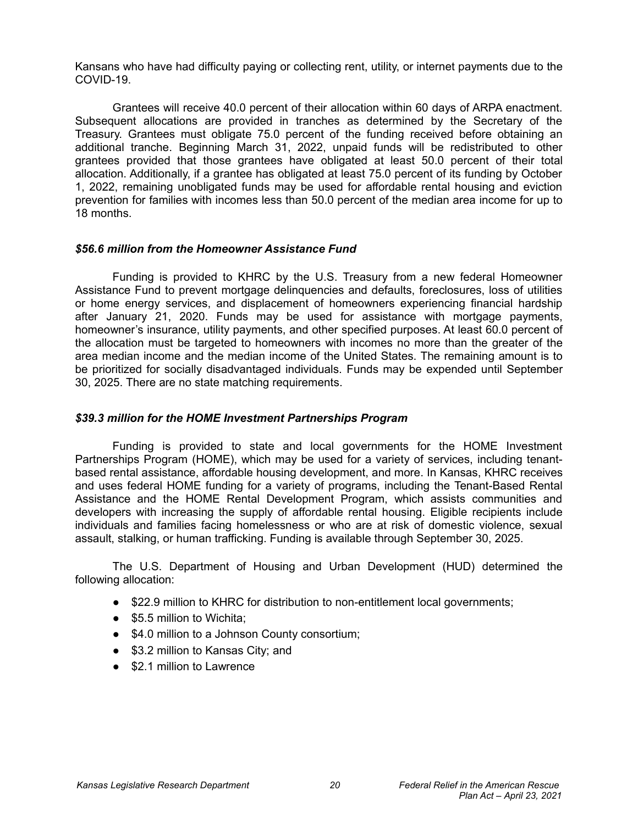Kansans who have had difficulty paying or collecting rent, utility, or internet payments due to the COVID-19.

Grantees will receive 40.0 percent of their allocation within 60 days of ARPA enactment. Subsequent allocations are provided in tranches as determined by the Secretary of the Treasury. Grantees must obligate 75.0 percent of the funding received before obtaining an additional tranche. Beginning March 31, 2022, unpaid funds will be redistributed to other grantees provided that those grantees have obligated at least 50.0 percent of their total allocation. Additionally, if a grantee has obligated at least 75.0 percent of its funding by October 1, 2022, remaining unobligated funds may be used for affordable rental housing and eviction prevention for families with incomes less than 50.0 percent of the median area income for up to 18 months.

#### *\$56.6 million from the Homeowner Assistance Fund*

Funding is provided to KHRC by the U.S. Treasury from a new federal Homeowner Assistance Fund to prevent mortgage delinquencies and defaults, foreclosures, loss of utilities or home energy services, and displacement of homeowners experiencing financial hardship after January 21, 2020. Funds may be used for assistance with mortgage payments, homeowner's insurance, utility payments, and other specified purposes. At least 60.0 percent of the allocation must be targeted to homeowners with incomes no more than the greater of the area median income and the median income of the United States. The remaining amount is to be prioritized for socially disadvantaged individuals. Funds may be expended until September 30, 2025. There are no state matching requirements.

#### *\$39.3 million for the HOME Investment Partnerships Program*

Funding is provided to state and local governments for the HOME Investment Partnerships Program (HOME), which may be used for a variety of services, including tenantbased rental assistance, affordable housing development, and more. In Kansas, KHRC receives and uses federal HOME funding for a variety of programs, including the Tenant-Based Rental Assistance and the HOME Rental Development Program, which assists communities and developers with increasing the supply of affordable rental housing. Eligible recipients include individuals and families facing homelessness or who are at risk of domestic violence, sexual assault, stalking, or human trafficking. Funding is available through September 30, 2025.

The U.S. Department of Housing and Urban Development (HUD) determined the following allocation:

- \$22.9 million to KHRC for distribution to non-entitlement local governments;
- \$5.5 million to Wichita:
- \$4.0 million to a Johnson County consortium;
- \$3.2 million to Kansas City; and
- \$2.1 million to Lawrence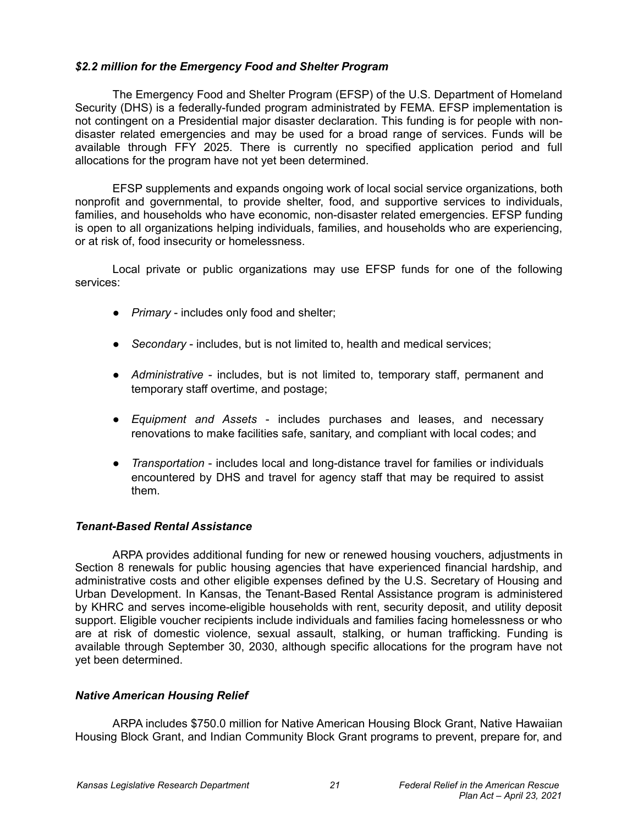## *\$2.2 million for the Emergency Food and Shelter Program*

The Emergency Food and Shelter Program (EFSP) of the U.S. Department of Homeland Security (DHS) is a federally-funded program administrated by FEMA. EFSP implementation is not contingent on a Presidential major disaster declaration. This funding is for people with nondisaster related emergencies and may be used for a broad range of services. Funds will be available through FFY 2025. There is currently no specified application period and full allocations for the program have not yet been determined.

EFSP supplements and expands ongoing work of local social service organizations, both nonprofit and governmental, to provide shelter, food, and supportive services to individuals, families, and households who have economic, non-disaster related emergencies. EFSP funding is open to all organizations helping individuals, families, and households who are experiencing, or at risk of, food insecurity or homelessness.

Local private or public organizations may use EFSP funds for one of the following services:

- *Primary* includes only food and shelter;
- *Secondary* includes, but is not limited to, health and medical services;
- *Administrative* includes, but is not limited to, temporary staff, permanent and temporary staff overtime, and postage;
- *Equipment and Assets* includes purchases and leases, and necessary renovations to make facilities safe, sanitary, and compliant with local codes; and
- *Transportation* includes local and long-distance travel for families or individuals encountered by DHS and travel for agency staff that may be required to assist them.

## *Tenant-Based Rental Assistance*

ARPA provides additional funding for new or renewed housing vouchers, adjustments in Section 8 renewals for public housing agencies that have experienced financial hardship, and administrative costs and other eligible expenses defined by the U.S. Secretary of Housing and Urban Development. In Kansas, the Tenant-Based Rental Assistance program is administered by KHRC and serves income-eligible households with rent, security deposit, and utility deposit support. Eligible voucher recipients include individuals and families facing homelessness or who are at risk of domestic violence, sexual assault, stalking, or human trafficking. Funding is available through September 30, 2030, although specific allocations for the program have not yet been determined.

## *Native American Housing Relief*

ARPA includes \$750.0 million for Native American Housing Block Grant, Native Hawaiian Housing Block Grant, and Indian Community Block Grant programs to prevent, prepare for, and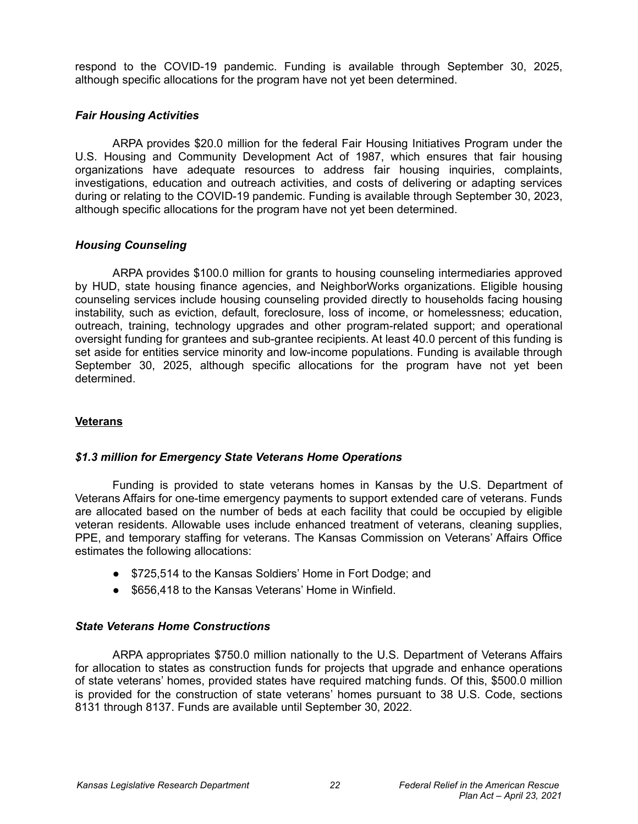respond to the COVID-19 pandemic. Funding is available through September 30, 2025, although specific allocations for the program have not yet been determined.

## *Fair Housing Activities*

ARPA provides \$20.0 million for the federal Fair Housing Initiatives Program under the U.S. Housing and Community Development Act of 1987, which ensures that fair housing organizations have adequate resources to address fair housing inquiries, complaints, investigations, education and outreach activities, and costs of delivering or adapting services during or relating to the COVID-19 pandemic. Funding is available through September 30, 2023, although specific allocations for the program have not yet been determined.

## *Housing Counseling*

ARPA provides \$100.0 million for grants to housing counseling intermediaries approved by HUD, state housing finance agencies, and NeighborWorks organizations. Eligible housing counseling services include housing counseling provided directly to households facing housing instability, such as eviction, default, foreclosure, loss of income, or homelessness; education, outreach, training, technology upgrades and other program-related support; and operational oversight funding for grantees and sub-grantee recipients. At least 40.0 percent of this funding is set aside for entities service minority and low-income populations. Funding is available through September 30, 2025, although specific allocations for the program have not yet been determined.

# **Veterans**

# *\$1.3 million for Emergency State Veterans Home Operations*

Funding is provided to state veterans homes in Kansas by the U.S. Department of Veterans Affairs for one-time emergency payments to support extended care of veterans. Funds are allocated based on the number of beds at each facility that could be occupied by eligible veteran residents. Allowable uses include enhanced treatment of veterans, cleaning supplies, PPE, and temporary staffing for veterans. The Kansas Commission on Veterans' Affairs Office estimates the following allocations:

- \$725,514 to the Kansas Soldiers' Home in Fort Dodge; and
- \$656,418 to the Kansas Veterans' Home in Winfield.

# *State Veterans Home Constructions*

ARPA appropriates \$750.0 million nationally to the U.S. Department of Veterans Affairs for allocation to states as construction funds for projects that upgrade and enhance operations of state veterans' homes, provided states have required matching funds. Of this, \$500.0 million is provided for the construction of state veterans' homes pursuant to 38 U.S. Code, sections 8131 through 8137. Funds are available until September 30, 2022.